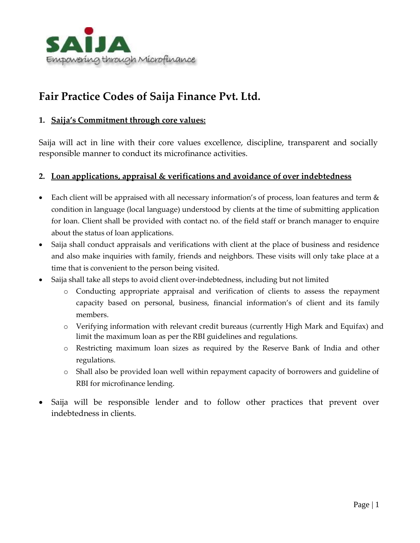

# **Fair Practice Codes of Saija Finance Pvt. Ltd.**

#### **1. Saija's Commitment through core values:**

Saija will act in line with their core values excellence, discipline, transparent and socially responsible manner to conduct its microfinance activities.

#### **2. Loan applications, appraisal & verifications and avoidance of over indebtedness**

- Each client will be appraised with all necessary information's of process, loan features and term & condition in language (local language) understood by clients at the time of submitting application for loan. Client shall be provided with contact no. of the field staff or branch manager to enquire about the status of loan applications.
- Saija shall conduct appraisals and verifications with client at the place of business and residence and also make inquiries with family, friends and neighbors. These visits will only take place at a time that is convenient to the person being visited.
- Saija shall take all steps to avoid client over-indebtedness, including but not limited
	- o Conducting appropriate appraisal and verification of clients to assess the repayment capacity based on personal, business, financial information's of client and its family members.
	- o Verifying information with relevant credit bureaus (currently High Mark and Equifax) and limit the maximum loan as per the RBI guidelines and regulations.
	- o Restricting maximum loan sizes as required by the Reserve Bank of India and other regulations.
	- o Shall also be provided loan well within repayment capacity of borrowers and guideline of RBI for microfinance lending.
- Saija will be responsible lender and to follow other practices that prevent over indebtedness in clients.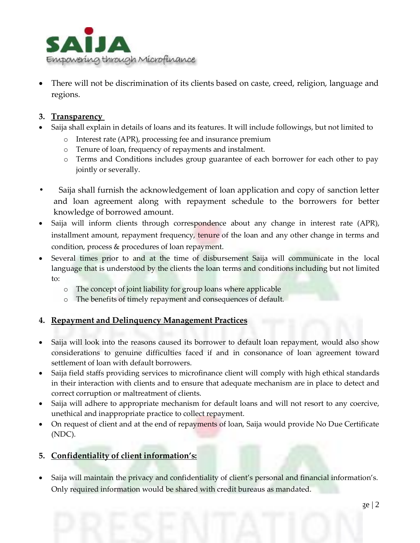

 There will not be discrimination of its clients based on caste, creed, religion, language and regions.

#### **3. Transparency**

- Saija shall explain in details of loans and its features. It will include followings, but not limited to
	- o Interest rate (APR), processing fee and insurance premium
	- o Tenure of loan, frequency of repayments and instalment.
	- o Terms and Conditions includes group guarantee of each borrower for each other to pay jointly or severally.
- **•** Saija shall furnish the acknowledgement of loan application and copy of sanction letter and loan agreement along with repayment schedule to the borrowers for better knowledge of borrowed amount.
- Saija will inform clients through correspondence about any change in interest rate (APR), installment amount, repayment frequency, tenure of the loan and any other change in terms and condition, process & procedures of loan repayment.
- Several times prior to and at the time of disbursement Saija will communicate in the local language that is understood by the clients the loan terms and conditions including but not limited to:
	- o The concept of joint liability for group loans where applicable
	- o The benefits of timely repayment and consequences of default.

### **4. Repayment and Delinquency Management Practices**

- Saija will look into the reasons caused its borrower to default loan repayment, would also show considerations to genuine difficulties faced if and in consonance of loan agreement toward settlement of loan with default borrowers.
- Saija field staffs providing services to microfinance client will comply with high ethical standards in their interaction with clients and to ensure that adequate mechanism are in place to detect and correct corruption or maltreatment of clients.
- Saija will adhere to appropriate mechanism for default loans and will not resort to any coercive, unethical and inappropriate practice to collect repayment.
- On request of client and at the end of repayments of loan, Saija would provide No Due Certificate (NDC).

### **5. Confidentiality of client information's:**

• Saija will maintain the privacy and confidentiality of client's personal and financial information's. Only required information would be shared with credit bureaus as mandated.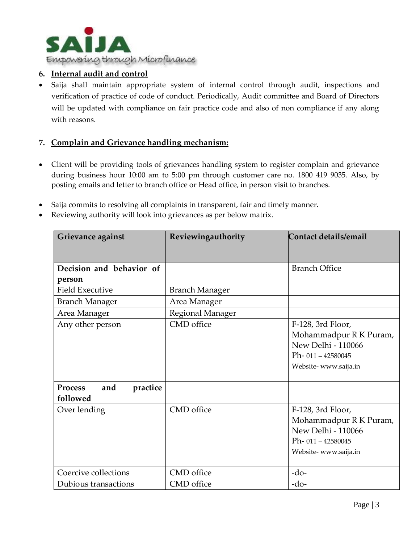

### **6. Internal audit and control**

 Saija shall maintain appropriate system of internal control through audit, inspections and verification of practice of code of conduct. Periodically, Audit committee and Board of Directors will be updated with compliance on fair practice code and also of non compliance if any along with reasons.

#### **7. Complain and Grievance handling mechanism:**

- Client will be providing tools of grievances handling system to register complain and grievance during business hour 10:00 am to 5:00 pm through customer care no. 1800 419 9035. Also, by posting emails and letter to branch office or Head office, in person visit to branches.
- Saija commits to resolving all complaints in transparent, fair and timely manner.
- Reviewing authority will look into grievances as per below matrix.

| Grievance against                             | Reviewingauthority    | Contact details/email  |
|-----------------------------------------------|-----------------------|------------------------|
|                                               |                       |                        |
| Decision and behavior of                      |                       | <b>Branch Office</b>   |
| person                                        |                       |                        |
| <b>Field Executive</b>                        | <b>Branch Manager</b> |                        |
| <b>Branch Manager</b>                         | Area Manager          |                        |
| Area Manager                                  | Regional Manager      |                        |
| Any other person                              | CMD office            | F-128, 3rd Floor,      |
|                                               |                       | Mohammadpur R K Puram, |
|                                               |                       | New Delhi - 110066     |
|                                               |                       | $Ph-011 - 42580045$    |
|                                               |                       | Website-www.saija.in   |
| <b>Process</b><br>and<br>practice<br>followed |                       |                        |
| Over lending                                  | CMD office            | F-128, 3rd Floor,      |
|                                               |                       | Mohammadpur R K Puram, |
|                                               |                       | New Delhi - 110066     |
|                                               |                       | Ph- 011-42580045       |
|                                               |                       | Website-www.saija.in   |
|                                               |                       |                        |
| Coercive collections                          | CMD office            | $-do-$                 |
| Dubious transactions                          | CMD office            | $-do-$                 |